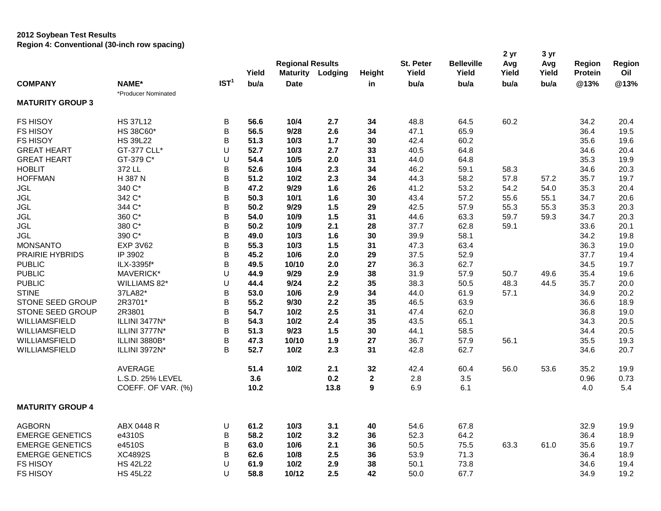## **2012 Soybean Test Results Region 4: Conventional (30-inch row spacing)**

|                         | negion 4. Conventional (common fow spacing) |                  |       | <b>Regional Results</b> |         |              | St. Peter | <b>Belleville</b> | 2 yr<br>Avg | 3 yr<br>Avg | Region         | <b>Region</b> |
|-------------------------|---------------------------------------------|------------------|-------|-------------------------|---------|--------------|-----------|-------------------|-------------|-------------|----------------|---------------|
|                         |                                             |                  | Yield | <b>Maturity</b>         | Lodging | Height       | Yield     | Yield             | Yield       | Yield       | <b>Protein</b> | Oil           |
| <b>COMPANY</b>          | NAME*                                       | IST <sup>1</sup> | bu/a  | <b>Date</b>             |         | in           | bu/a      | bu/a              | bu/a        | bu/a        | @13%           | @13%          |
|                         | *Producer Nominated                         |                  |       |                         |         |              |           |                   |             |             |                |               |
| <b>MATURITY GROUP 3</b> |                                             |                  |       |                         |         |              |           |                   |             |             |                |               |
| <b>FS HISOY</b>         | <b>HS 37L12</b>                             | B                | 56.6  | 10/4                    | 2.7     | 34           | 48.8      | 64.5              | 60.2        |             | 34.2           | 20.4          |
| FS HISOY                | HS 38C60*                                   | B                | 56.5  | 9/28                    | 2.6     | 34           | 47.1      | 65.9              |             |             | 36.4           | 19.5          |
| <b>FS HISOY</b>         | <b>HS 39L22</b>                             | B                | 51.3  | 10/3                    | 1.7     | 30           | 42.4      | 60.2              |             |             | 35.6           | 19.6          |
| <b>GREAT HEART</b>      | GT-377 CLL*                                 | U                | 52.7  | 10/3                    | 2.7     | 33           | 40.5      | 64.8              |             |             | 34.6           | 20.4          |
| <b>GREAT HEART</b>      | GT-379 C*                                   | U                | 54.4  | 10/5                    | 2.0     | 31           | 44.0      | 64.8              |             |             | 35.3           | 19.9          |
| <b>HOBLIT</b>           | 372 LL                                      | B                | 52.6  | 10/4                    | 2.3     | 34           | 46.2      | 59.1              | 58.3        |             | 34.6           | 20.3          |
| <b>HOFFMAN</b>          | H 387 N                                     | B                | 51.2  | 10/2                    | 2.3     | 34           | 44.3      | 58.2              | 57.8        | 57.2        | 35.7           | 19.7          |
| <b>JGL</b>              | 340 C*                                      | B                | 47.2  | 9/29                    | 1.6     | 26           | 41.2      | 53.2              | 54.2        | 54.0        | 35.3           | 20.4          |
| <b>JGL</b>              | 342 C*                                      | B                | 50.3  | 10/1                    | 1.6     | 30           | 43.4      | 57.2              | 55.6        | 55.1        | 34.7           | 20.6          |
| <b>JGL</b>              | 344 C*                                      | В                | 50.2  | 9/29                    | 1.5     | 29           | 42.5      | 57.9              | 55.3        | 55.3        | 35.3           | 20.3          |
| <b>JGL</b>              | 360 C*                                      | B                | 54.0  | 10/9                    | 1.5     | 31           | 44.6      | 63.3              | 59.7        | 59.3        | 34.7           | 20.3          |
| <b>JGL</b>              | 380 C*                                      | B                | 50.2  | 10/9                    | 2.1     | 28           | 37.7      | 62.8              | 59.1        |             | 33.6           | 20.1          |
| <b>JGL</b>              | 390 C*                                      | B                | 49.0  | 10/3                    | 1.6     | 30           | 39.9      | 58.1              |             |             | 34.2           | 19.8          |
| <b>MONSANTO</b>         | <b>EXP 3V62</b>                             | B                | 55.3  | 10/3                    | 1.5     | 31           | 47.3      | 63.4              |             |             | 36.3           | 19.0          |
| PRAIRIE HYBRIDS         | IP 3902                                     | B                | 45.2  | 10/6                    | 2.0     | 29           | 37.5      | 52.9              |             |             | 37.7           | 19.4          |
| <b>PUBLIC</b>           | ILX-3395f*                                  | B                | 49.5  | 10/10                   | 2.0     | 27           | 36.3      | 62.7              |             |             | 34.5           | 19.7          |
| <b>PUBLIC</b>           | MAVERICK*                                   | U                | 44.9  | 9/29                    | 2.9     | 38           | 31.9      | 57.9              | 50.7        | 49.6        | 35.4           | 19.6          |
| <b>PUBLIC</b>           | WILLIAMS 82*                                | U                | 44.4  | 9/24                    | 2.2     | 35           | 38.3      | 50.5              | 48.3        | 44.5        | 35.7           | 20.0          |
| <b>STINE</b>            | 37LA82*                                     | B                | 53.0  | 10/6                    | 2.9     | 34           | 44.0      | 61.9              | 57.1        |             | 34.9           | 20.2          |
| STONE SEED GROUP        | 2R3701*                                     | B                | 55.2  | 9/30                    | 2.2     | 35           | 46.5      | 63.9              |             |             | 36.6           | 18.9          |
| STONE SEED GROUP        | 2R3801                                      | B                | 54.7  | 10/2                    | 2.5     | 31           | 47.4      | 62.0              |             |             | 36.8           | 19.0          |
| WILLIAMSFIELD           | ILLINI 3477N*                               | B                | 54.3  | 10/2                    | 2.4     | 35           | 43.5      | 65.1              |             |             | 34.3           | 20.5          |
| WILLIAMSFIELD           | ILLINI 3777N*                               | B                | 51.3  | 9/23                    | $1.5$   | 30           | 44.1      | 58.5              |             |             | 34.4           | 20.5          |
| WILLIAMSFIELD           | ILLINI 3880B*                               | B                | 47.3  | 10/10                   | 1.9     | 27           | 36.7      | 57.9              | 56.1        |             | 35.5           | 19.3          |
| WILLIAMSFIELD           | ILLINI 3972N*                               | B                | 52.7  | $10/2$                  | 2.3     | 31           | 42.8      | 62.7              |             |             | 34.6           | 20.7          |
|                         |                                             |                  |       |                         |         |              |           |                   |             |             |                |               |
|                         | AVERAGE                                     |                  | 51.4  | 10/2                    | 2.1     | 32           | 42.4      | 60.4              | 56.0        | 53.6        | 35.2           | 19.9          |
|                         | L.S.D. 25% LEVEL                            |                  | 3.6   |                         | 0.2     | $\mathbf{2}$ | 2.8       | 3.5               |             |             | 0.96           | 0.73          |
|                         | COEFF. OF VAR. (%)                          |                  | 10.2  |                         | 13.8    | 9            | 6.9       | 6.1               |             |             | 4.0            | 5.4           |
| <b>MATURITY GROUP 4</b> |                                             |                  |       |                         |         |              |           |                   |             |             |                |               |
| <b>AGBORN</b>           | ABX 0448 R                                  | U                | 61.2  | $10/3$                  | 3.1     | 40           | 54.6      | 67.8              |             |             | 32.9           | 19.9          |
| <b>EMERGE GENETICS</b>  | e4310S                                      | B                | 58.2  | $10/2$                  | 3.2     | 36           | 52.3      | 64.2              |             |             | 36.4           | 18.9          |
| <b>EMERGE GENETICS</b>  | e4510S                                      | B                | 63.0  | 10/6                    | 2.1     | 36           | 50.5      | 75.5              | 63.3        | 61.0        | 35.6           | 19.7          |
| <b>EMERGE GENETICS</b>  | XC4892S                                     | B                | 62.6  | 10/8                    | 2.5     | 36           | 53.9      | 71.3              |             |             | 36.4           | 18.9          |
| <b>FS HISOY</b>         | <b>HS 42L22</b>                             | U                | 61.9  | 10/2                    | 2.9     | 38           | 50.1      | 73.8              |             |             | 34.6           | 19.4          |
| <b>FS HISOY</b>         | <b>HS 45L22</b>                             | U                | 58.8  | 10/12                   | 2.5     | 42           | 50.0      | 67.7              |             |             | 34.9           | 19.2          |